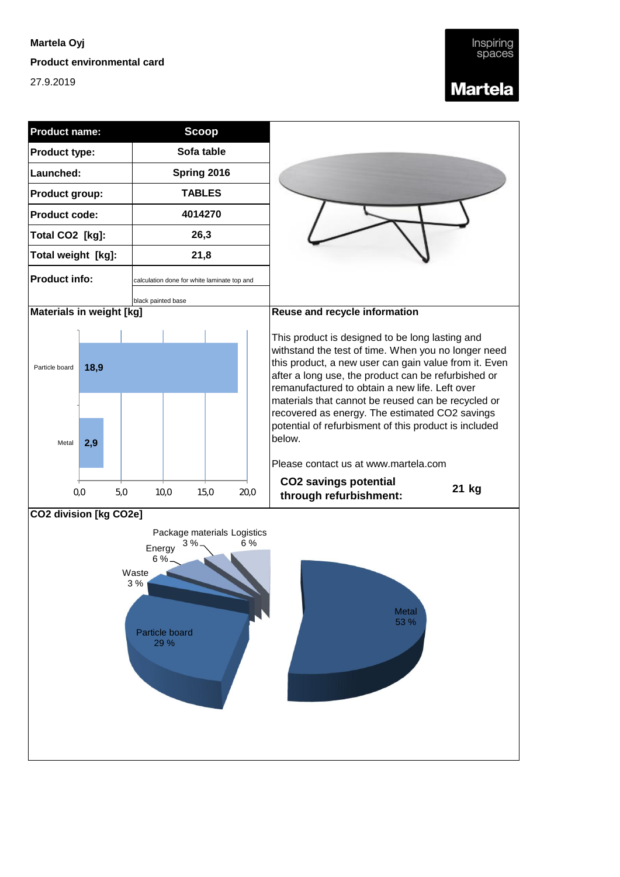#### **Martela Oyj**

**Product environmental card**

27.9.2019

### **Martela**

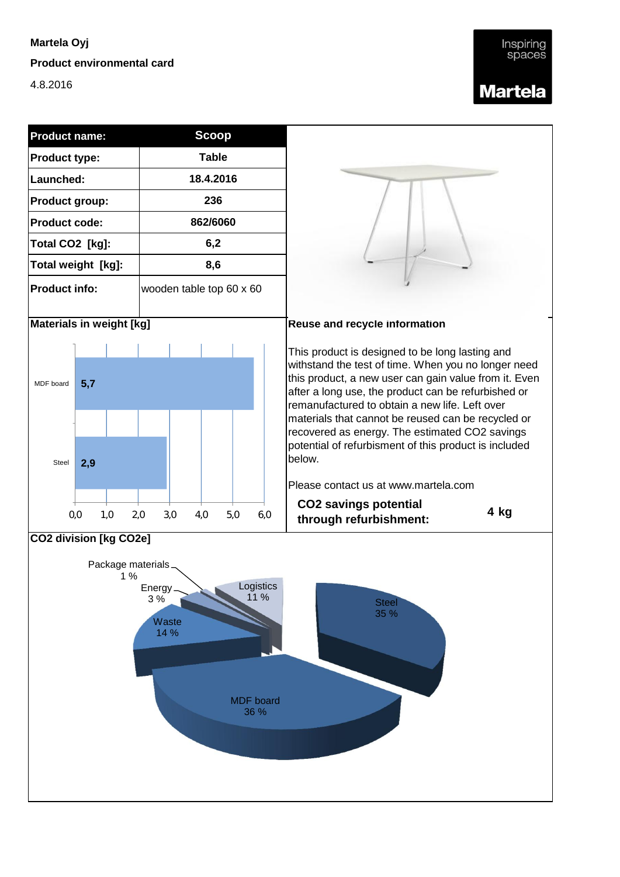## **Martela Oyj**

### **Product environmental card**

4.8.2016



# Inspiring spaces **Martela**